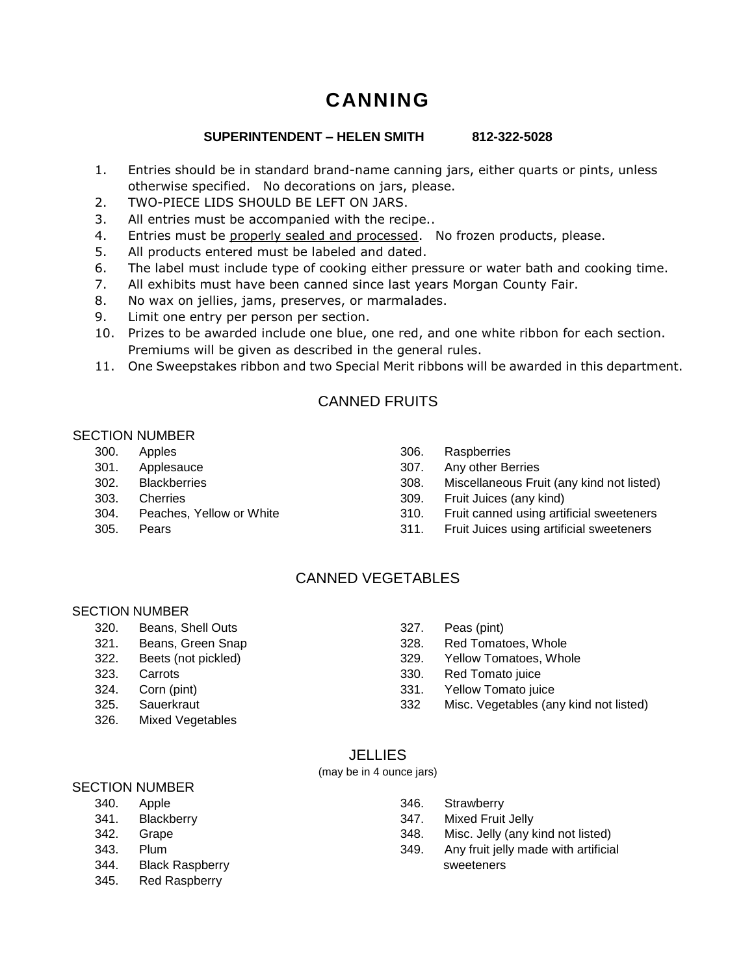# **CANNING**

#### **SUPERINTENDENT – HELEN SMITH 812-322-5028**

- 1. Entries should be in standard brand-name canning jars, either quarts or pints, unless otherwise specified. No decorations on jars, please.
- 2. TWO-PIECE LIDS SHOULD BE LEFT ON JARS.
- 3. All entries must be accompanied with the recipe..
- 4. Entries must be properly sealed and processed. No frozen products, please.
- 5. All products entered must be labeled and dated.
- 6. The label must include type of cooking either pressure or water bath and cooking time.
- 7. All exhibits must have been canned since last years Morgan County Fair.
- 8. No wax on jellies, jams, preserves, or marmalades.
- 9. Limit one entry per person per section.
- 10. Prizes to be awarded include one blue, one red, and one white ribbon for each section. Premiums will be given as described in the general rules.
- 11. One Sweepstakes ribbon and two Special Merit ribbons will be awarded in this department.

# CANNED FRUITS

#### SECTION NUMBER

- 300. Apples
- 301. Applesauce
- 302. Blackberries
- 303. Cherries
- 304. Peaches, Yellow or White
- 305. Pears
- 306. Raspberries
- 307. Any other Berries
- 308. Miscellaneous Fruit (any kind not listed)
- 309. Fruit Juices (any kind)
- 310. Fruit canned using artificial sweeteners
- 311. Fruit Juices using artificial sweeteners

# CANNED VEGETABLES

#### SECTION NUMBER

- 320. Beans, Shell Outs
- 321. Beans, Green Snap
- 322. Beets (not pickled)
- 323. Carrots
- 324. Corn (pint)
- 325. Sauerkraut
- 326. Mixed Vegetables
- 327. Peas (pint)
- 328. Red Tomatoes, Whole
- 329. Yellow Tomatoes, Whole
- 330. Red Tomato juice
- 331. Yellow Tomato juice
- 332 Misc. Vegetables (any kind not listed)

## **JELLIES**

(may be in 4 ounce jars)

#### SECTION NUMBER

- 340. Apple
- 341. Blackberry
- 342. Grape
- 343. Plum
- 344. Black Raspberry
- 345. Red Raspberry
- 346. Strawberry
- 347. Mixed Fruit Jelly
- 348. Misc. Jelly (any kind not listed)
- 349. Any fruit jelly made with artificial sweeteners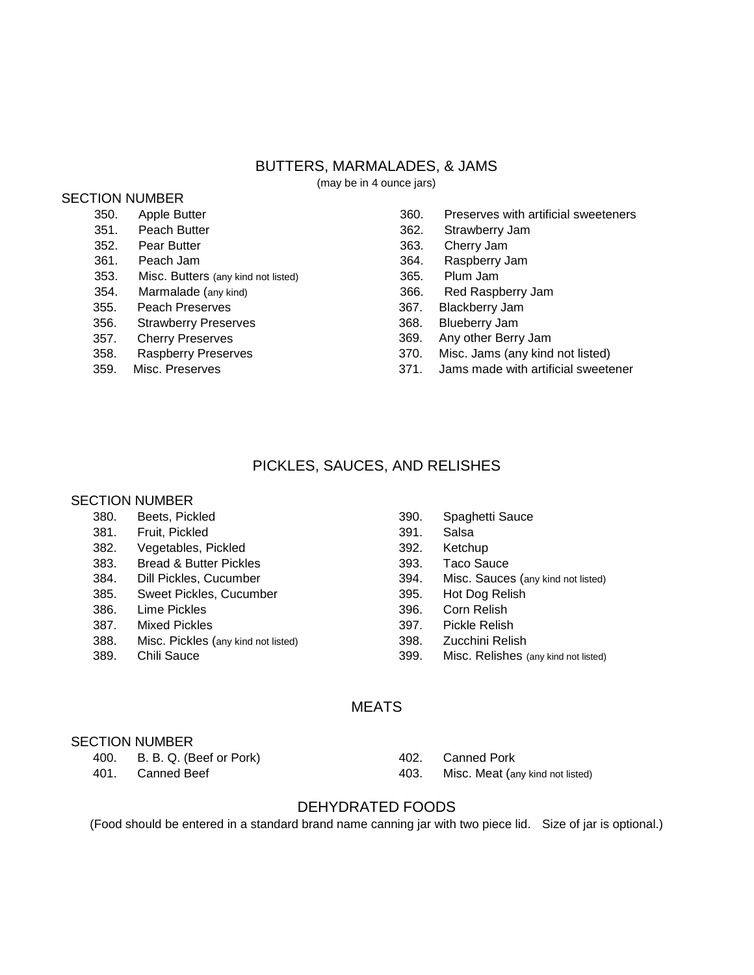#### BUTTERS, MARMALADES, & JAMS

(may be in 4 ounce jars)

#### SECTION NUMBER

- 350. Apple Butter 351. Peach Butter
- 352. Pear Butter
- 
- 361. Peach Jam
- 353. Misc. Butters (any kind not listed)
- 354. Marmalade (any kind)
- 355. Peach Preserves
- 356. Strawberry Preserves
- 357. Cherry Preserves
- 358. Raspberry Preserves
- 359. Misc. Preserves
- 360. Preserves with artificial sweeteners
- 362. Strawberry Jam
- 363. Cherry Jam
- 364. Raspberry Jam
- 365. Plum Jam
- 366. Red Raspberry Jam
- 367. Blackberry Jam
- 368. Blueberry Jam
- 369. Any other Berry Jam
- 370. Misc. Jams (any kind not listed)
- 371. Jams made with artificial sweetener

# PICKLES, SAUCES, AND RELISHES

#### SECTION NUMBER

- 380. Beets, Pickled
- 381. Fruit, Pickled
- 382. Vegetables, Pickled
- 383. Bread & Butter Pickles
- 384. Dill Pickles, Cucumber
- 385. Sweet Pickles, Cucumber
- 386. Lime Pickles
- 387. Mixed Pickles
- 388. Misc. Pickles (any kind not listed)
- 389. Chili Sauce
- 390. Spaghetti Sauce
- 391. Salsa
- 392. Ketchup
- 393. Taco Sauce
- 394. Misc. Sauces (any kind not listed)
- 395. Hot Dog Relish
- 396. Corn Relish
- 397. Pickle Relish
- 398. Zucchini Relish
- 399. Misc. Relishes (any kind not listed)

## MEATS

#### SECTION NUMBER

400. B. B. Q. (Beef or Pork)

401. Canned Beef

402. Canned Pork 403. Misc. Meat (any kind not listed)

# DEHYDRATED FOODS

(Food should be entered in a standard brand name canning jar with two piece lid. Size of jar is optional.)